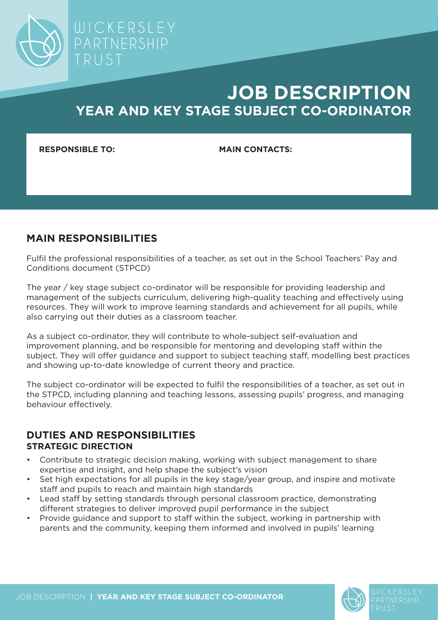

**RESPONSIBLE TO: MAIN CONTACTS:**

PARTNERSHIP

## **MAIN RESPONSIBILITIES**

Fulfil the professional responsibilities of a teacher, as set out in the School Teachers' Pay and Conditions document (STPCD)

The year / key stage subject co-ordinator will be responsible for providing leadership and management of the subjects curriculum, delivering high-quality teaching and effectively using resources. They will work to improve learning standards and achievement for all pupils, while also carrying out their duties as a classroom teacher.

As a subject co-ordinator, they will contribute to whole-subject self-evaluation and improvement planning, and be responsible for mentoring and developing staff within the subject. They will offer guidance and support to subject teaching staff, modelling best practices and showing up-to-date knowledge of current theory and practice.

The subject co-ordinator will be expected to fulfil the responsibilities of a teacher, as set out in the STPCD, including planning and teaching lessons, assessing pupils' progress, and managing behaviour effectively.

### **DUTIES AND RESPONSIBILITIES STRATEGIC DIRECTION**

- Contribute to strategic decision making, working with subject management to share expertise and insight, and help shape the subject's vision
- Set high expectations for all pupils in the key stage/year group, and inspire and motivate staff and pupils to reach and maintain high standards
- Lead staff by setting standards through personal classroom practice, demonstrating different strategies to deliver improved pupil performance in the subject
- Provide guidance and support to staff within the subject, working in partnership with parents and the community, keeping them informed and involved in pupils' learning



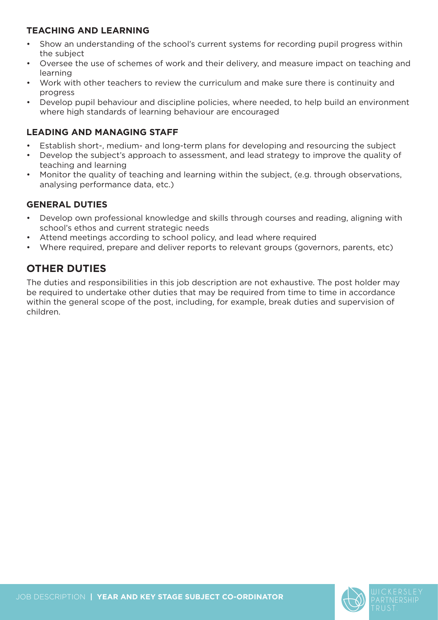## **TEACHING AND LEARNING**

- Show an understanding of the school's current systems for recording pupil progress within the subject
- Oversee the use of schemes of work and their delivery, and measure impact on teaching and learning
- Work with other teachers to review the curriculum and make sure there is continuity and progress
- Develop pupil behaviour and discipline policies, where needed, to help build an environment where high standards of learning behaviour are encouraged

### **LEADING AND MANAGING STAFF**

- Establish short-, medium- and long-term plans for developing and resourcing the subject
- Develop the subject's approach to assessment, and lead strategy to improve the quality of teaching and learning
- Monitor the quality of teaching and learning within the subject, (e.g. through observations, analysing performance data, etc.)

## **GENERAL DUTIES**

- Develop own professional knowledge and skills through courses and reading, aligning with school's ethos and current strategic needs
- Attend meetings according to school policy, and lead where required
- Where required, prepare and deliver reports to relevant groups (governors, parents, etc)

# **OTHER DUTIES**

The duties and responsibilities in this job description are not exhaustive. The post holder may be required to undertake other duties that may be required from time to time in accordance within the general scope of the post, including, for example, break duties and supervision of children.

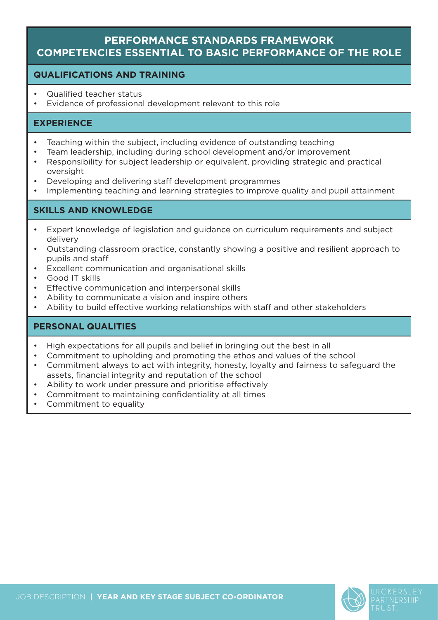## **PERFORMANCE STANDARDS FRAMEWORK COMPETENCIES ESSENTIAL TO BASIC PERFORMANCE OF THE ROLE**

#### **QUALIFICATIONS AND TRAINING**

- Qualified teacher status
- Evidence of professional development relevant to this role

#### **EXPERIENCE**

- Teaching within the subject, including evidence of outstanding teaching
- Team leadership, including during school development and/or improvement
- Responsibility for subject leadership or equivalent, providing strategic and practical oversight
- Developing and delivering staff development programmes
- Implementing teaching and learning strategies to improve quality and pupil attainment

### **SKILLS AND KNOWLEDGE**

- Expert knowledge of legislation and guidance on curriculum requirements and subject delivery
- Outstanding classroom practice, constantly showing a positive and resilient approach to pupils and staff
- Excellent communication and organisational skills
- Good IT skills
- Effective communication and interpersonal skills
- Ability to communicate a vision and inspire others
- Ability to build effective working relationships with staff and other stakeholders

### **PERSONAL QUALITIES**

- High expectations for all pupils and belief in bringing out the best in all
- Commitment to upholding and promoting the ethos and values of the school
- Commitment always to act with integrity, honesty, loyalty and fairness to safeguard the assets, financial integrity and reputation of the school
- Ability to work under pressure and prioritise effectively
- Commitment to maintaining confidentiality at all times
- Commitment to equality

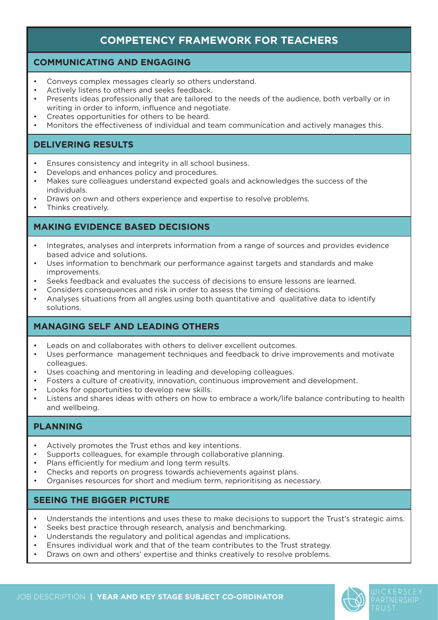# **COMPETENCY FRAMEWORK FOR TEACHERS**

#### **COMMUNICATING AND ENGAGING**

- Conveys complex messages clearly so others understand.
- Actively listens to others and seeks feedback.
- Presents ideas professionally that are tailored to the needs of the audience, both verbally or in writing in order to inform, influence and negotiate.
- Creates opportunities for others to be heard.
- Monitors the effectiveness of individual and team communication and actively manages this.

#### **DELIVERING RESULTS**

- Ensures consistency and integrity in all school business.
- Develops and enhances policy and procedures.
- Makes sure colleagues understand expected goals and acknowledges the success of the individuals.
- Draws on own and others experience and expertise to resolve problems.
- Thinks creatively.

#### **MAKING EVIDENCE BASED DECISIONS**

- Integrates, analyses and interprets information from a range of sources and provides evidence based advice and solutions.
- Uses information to benchmark our performance against targets and standards and make improvements.
- Seeks feedback and evaluates the success of decisions to ensure lessons are learned.
- Considers consequences and risk in order to assess the timing of decisions.
- Analyses situations from all angles using both quantitative and qualitative data to identify solutions.

#### **MANAGING SELF AND LEADING OTHERS**

- Leads on and collaborates with others to deliver excellent outcomes.
- Uses performance management techniques and feedback to drive improvements and motivate colleagues.
- Uses coaching and mentoring in leading and developing colleagues.
- Fosters a culture of creativity, innovation, continuous improvement and development.
- Looks for opportunities to develop new skills.
- Listens and shares ideas with others on how to embrace a work/life balance contributing to health and wellbeing.

#### **PLANNING**

- Actively promotes the Trust ethos and key intentions.
- Supports colleagues, for example through collaborative planning.
- Plans efficiently for medium and long term results.
- Checks and reports on progress towards achievements against plans.
- Organises resources for short and medium term, reprioritising as necessary.

#### **SEEING THE BIGGER PICTURE**

- Understands the intentions and uses these to make decisions to support the Trust's strategic aims.
- Seeks best practice through research, analysis and benchmarking.
- Understands the regulatory and political agendas and implications.
- Ensures individual work and that of the team contributes to the Trust strategy.
- Draws on own and others' expertise and thinks creatively to resolve problems.